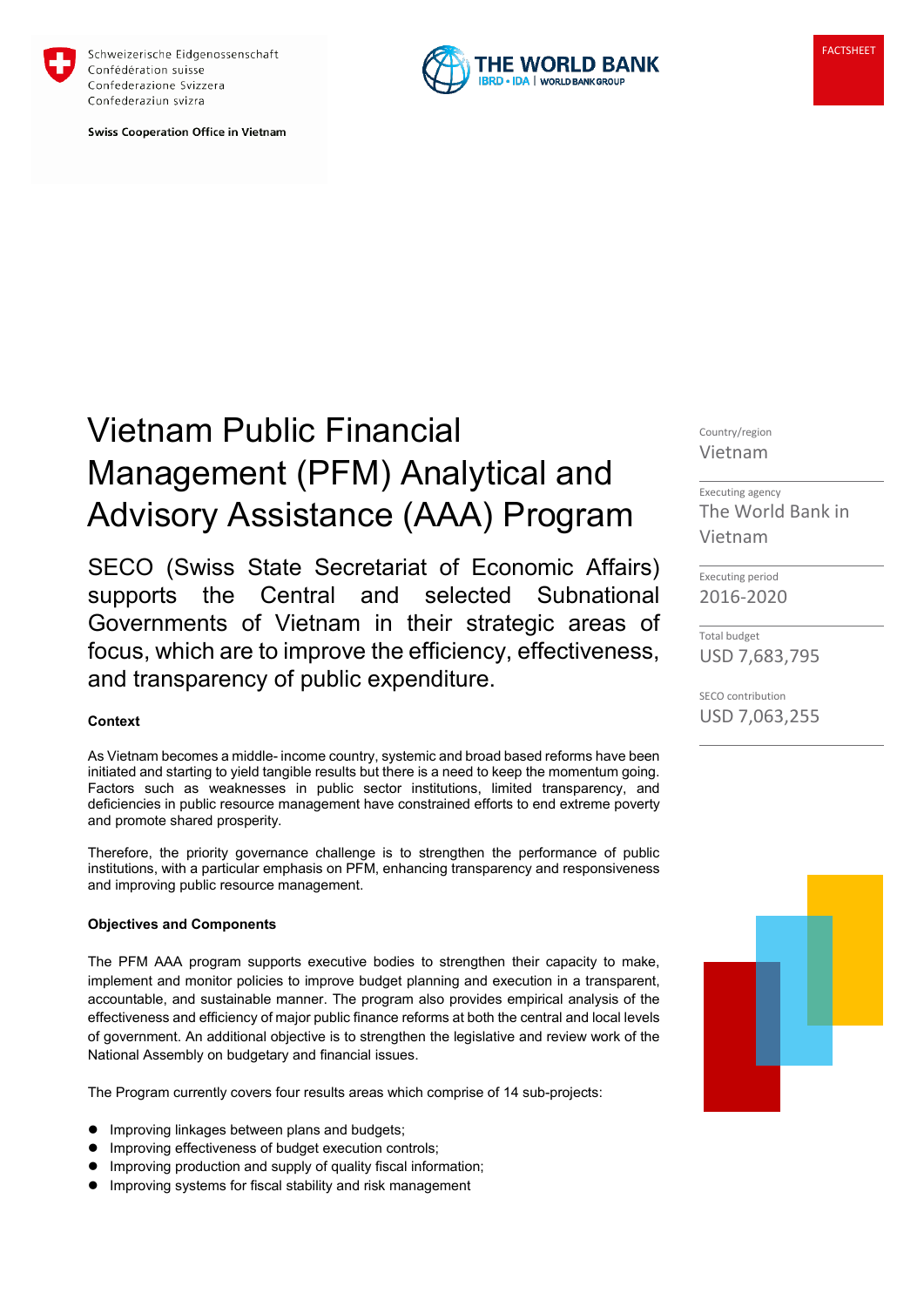

Schweizerische Eidgenossenschaft Confédération suisse Confederazione Svizzera Confederaziun svizra

**Swiss Cooperation Office in Vietnam** 



# Vietnam Public Financial Management (PFM) Analytical and Advisory Assistance (AAA) Program

SECO (Swiss State Secretariat of Economic Affairs) supports the Central and selected Subnational Governments of Vietnam in their strategic areas of focus, which are to improve the efficiency, effectiveness, and transparency of public expenditure.

## **Context**

As Vietnam becomes a middle- income country, systemic and broad based reforms have been initiated and starting to yield tangible results but there is a need to keep the momentum going. Factors such as weaknesses in public sector institutions, limited transparency, and deficiencies in public resource management have constrained efforts to end extreme poverty and promote shared prosperity.

Therefore, the priority governance challenge is to strengthen the performance of public institutions, with a particular emphasis on PFM, enhancing transparency and responsiveness and improving public resource management.

#### **Objectives and Components**

The PFM AAA program supports executive bodies to strengthen their capacity to make, implement and monitor policies to improve budget planning and execution in a transparent, accountable, and sustainable manner. The program also provides empirical analysis of the effectiveness and efficiency of major public finance reforms at both the central and local levels of government. An additional objective is to strengthen the legislative and review work of the National Assembly on budgetary and financial issues.

The Program currently covers four results areas which comprise of 14 sub-projects:

- **Improving linkages between plans and budgets;**
- **Improving effectiveness of budget execution controls;**
- **Improving production and supply of quality fiscal information;**
- **Improving systems for fiscal stability and risk management**

Country/region Vietnam

Executing agency The World Bank in Vietnam

Executing period 2016-2020

Total budget USD 7,683,795

SECO contribution USD 7,063,255